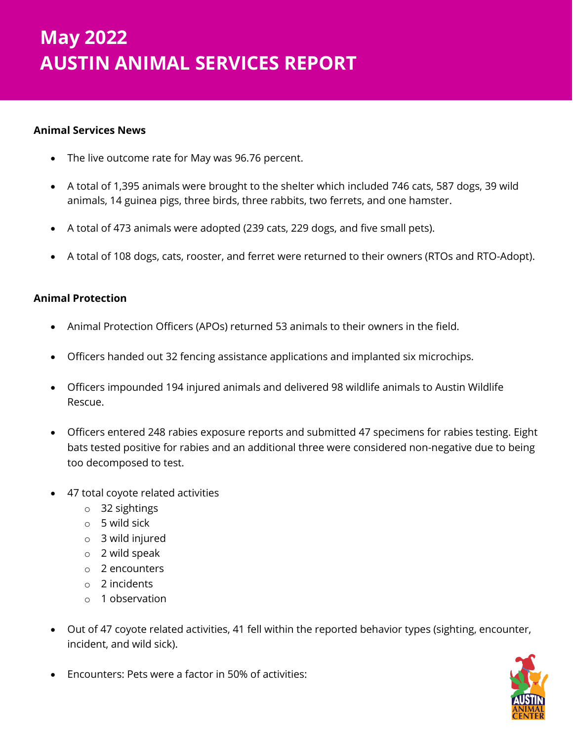# *May 2022 Animal Services Report* **May 2022 AUSTIN ANIMAL SERVICES REPORT**

# **Animal Services News**

- The live outcome rate for May was 96.76 percent.
- A total of 1,395 animals were brought to the shelter which included 746 cats, 587 dogs, 39 wild animals, 14 guinea pigs, three birds, three rabbits, two ferrets, and one hamster.
- A total of 473 animals were adopted (239 cats, 229 dogs, and five small pets).
- A total of 108 dogs, cats, rooster, and ferret were returned to their owners (RTOs and RTO-Adopt).

# **Animal Protection**

- Animal Protection Officers (APOs) returned 53 animals to their owners in the field.
- Officers handed out 32 fencing assistance applications and implanted six microchips.
- Officers impounded 194 injured animals and delivered 98 wildlife animals to Austin Wildlife Rescue.
- Officers entered 248 rabies exposure reports and submitted 47 specimens for rabies testing. Eight bats tested positive for rabies and an additional three were considered non-negative due to being too decomposed to test.
- 47 total coyote related activities
	- o 32 sightings
	- o 5 wild sick
	- o 3 wild injured
	- o 2 wild speak
	- o 2 encounters
	- o 2 incidents
	- o 1 observation
- Out of 47 coyote related activities, 41 fell within the reported behavior types (sighting, encounter, incident, and wild sick).
- Encounters: Pets were a factor in 50% of activities:

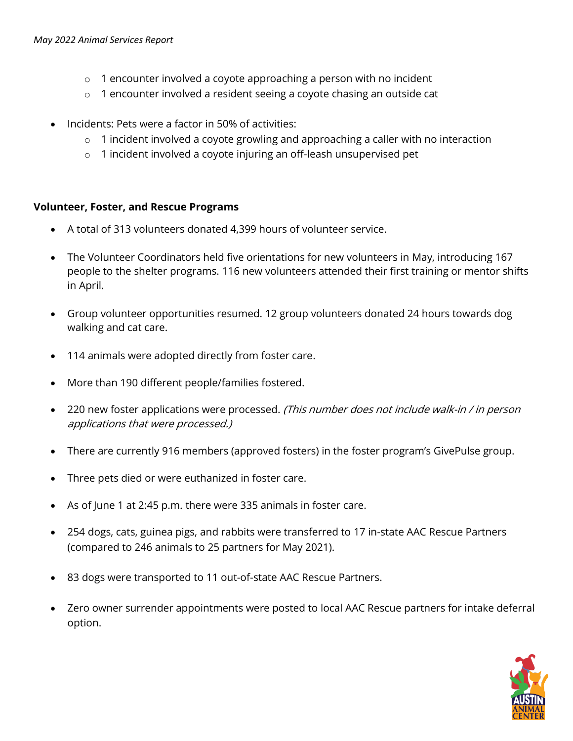- $\circ$  1 encounter involved a coyote approaching a person with no incident
- o 1 encounter involved a resident seeing a coyote chasing an outside cat
- Incidents: Pets were a factor in 50% of activities:
	- o 1 incident involved a coyote growling and approaching a caller with no interaction
	- o 1 incident involved a coyote injuring an off-leash unsupervised pet

#### **Volunteer, Foster, and Rescue Programs**

- A total of 313 volunteers donated 4,399 hours of volunteer service.
- The Volunteer Coordinators held five orientations for new volunteers in May, introducing 167 people to the shelter programs. 116 new volunteers attended their first training or mentor shifts in April.
- Group volunteer opportunities resumed. 12 group volunteers donated 24 hours towards dog walking and cat care.
- 114 animals were adopted directly from foster care.
- More than 190 different people/families fostered.
- 220 new foster applications were processed. (This number does not include walk-in / in person applications that were processed.)
- There are currently 916 members (approved fosters) in the foster program's GivePulse group.
- Three pets died or were euthanized in foster care.
- As of June 1 at 2:45 p.m. there were 335 animals in foster care.
- 254 dogs, cats, guinea pigs, and rabbits were transferred to 17 in-state AAC Rescue Partners (compared to 246 animals to 25 partners for May 2021).
- 83 dogs were transported to 11 out-of-state AAC Rescue Partners.
- Zero owner surrender appointments were posted to local AAC Rescue partners for intake deferral option.

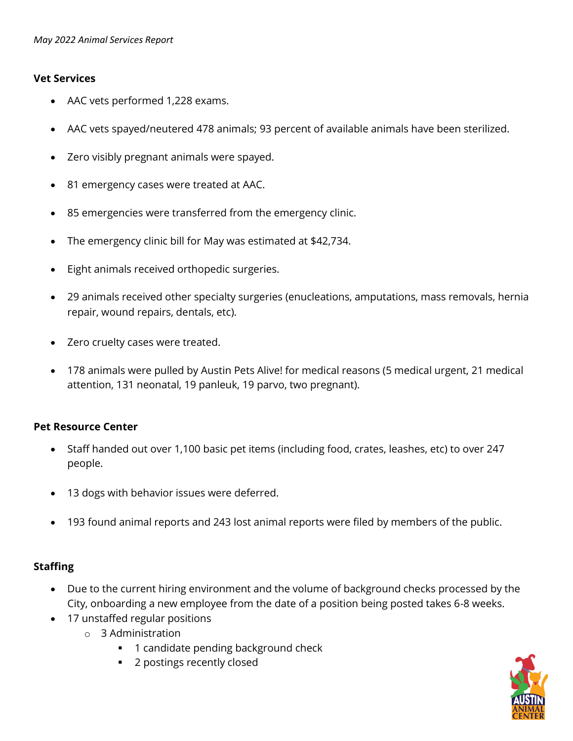### **Vet Services**

- AAC vets performed 1,228 exams.
- AAC vets spayed/neutered 478 animals; 93 percent of available animals have been sterilized.
- Zero visibly pregnant animals were spayed.
- 81 emergency cases were treated at AAC.
- 85 emergencies were transferred from the emergency clinic.
- The emergency clinic bill for May was estimated at \$42,734.
- Eight animals received orthopedic surgeries.
- 29 animals received other specialty surgeries (enucleations, amputations, mass removals, hernia repair, wound repairs, dentals, etc).
- Zero cruelty cases were treated.
- 178 animals were pulled by Austin Pets Alive! for medical reasons (5 medical urgent, 21 medical attention, 131 neonatal, 19 panleuk, 19 parvo, two pregnant).

## **Pet Resource Center**

- Staff handed out over 1,100 basic pet items (including food, crates, leashes, etc) to over 247 people.
- 13 dogs with behavior issues were deferred.
- 193 found animal reports and 243 lost animal reports were filed by members of the public.

## **Staffing**

- Due to the current hiring environment and the volume of background checks processed by the City, onboarding a new employee from the date of a position being posted takes 6-8 weeks.
- 17 unstaffed regular positions
	- o 3 Administration
		- 1 candidate pending background check
		- 2 postings recently closed